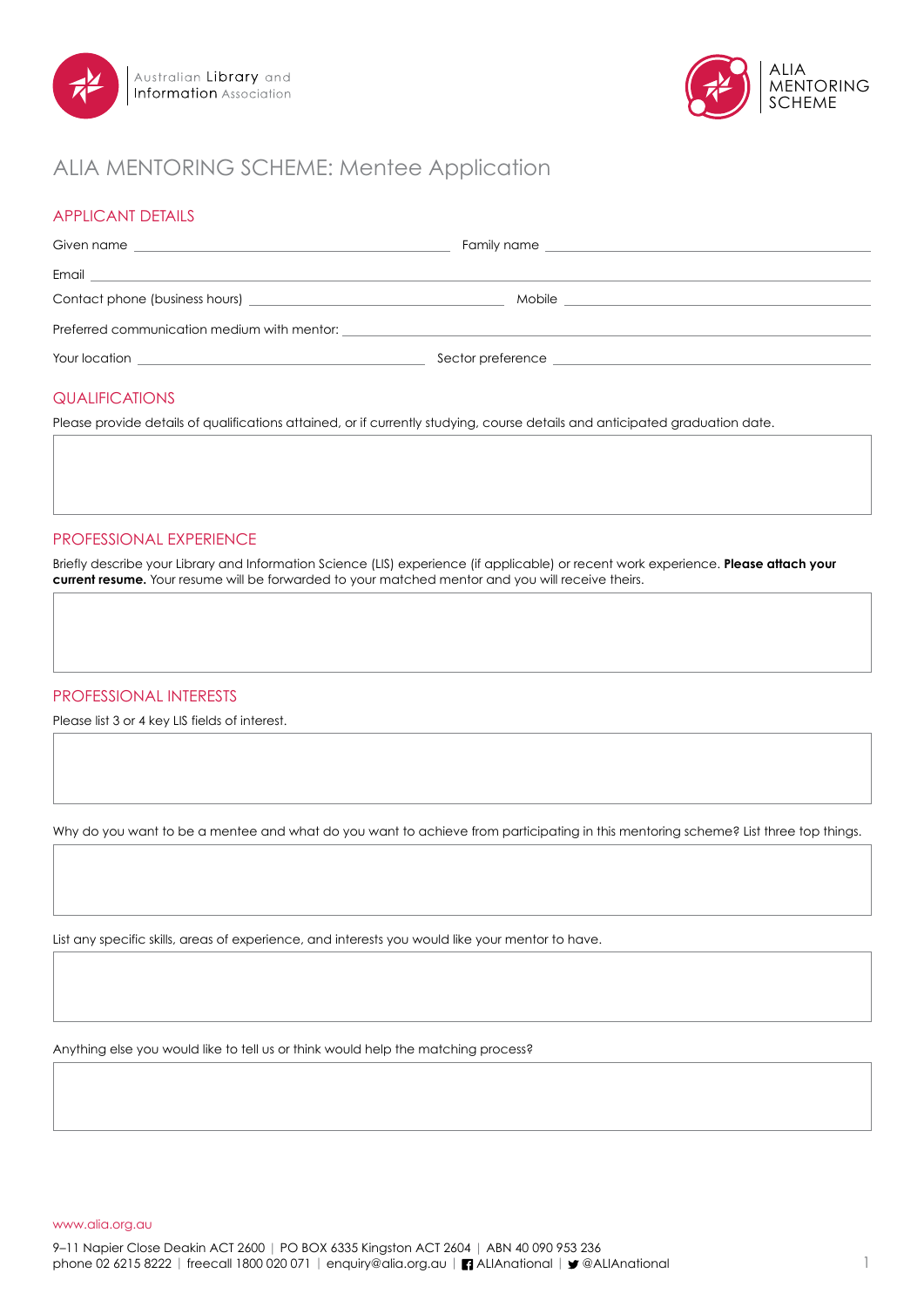



# ALIA MENTORING SCHEME: Mentee Application

### APPLICANT DETAILS

| Given name                                  | Family name that the contract of the contract of the contract of the contract of the contract of the contract of the contract of the contract of the contract of the contract of the contract of the contract of the contract |  |  |  |
|---------------------------------------------|-------------------------------------------------------------------------------------------------------------------------------------------------------------------------------------------------------------------------------|--|--|--|
| Email                                       |                                                                                                                                                                                                                               |  |  |  |
|                                             | Mobile                                                                                                                                                                                                                        |  |  |  |
| Preferred communication medium with mentor: |                                                                                                                                                                                                                               |  |  |  |
| Your location                               | Sector preference                                                                                                                                                                                                             |  |  |  |

### QUALIFICATIONS

Please provide details of qualifications attained, or if currently studying, course details and anticipated graduation date.

### PROFESSIONAL EXPERIENCE

Briefly describe your Library and Information Science (LIS) experience (if applicable) or recent work experience. **Please attach your current resume.** Your resume will be forwarded to your matched mentor and you will receive theirs.

#### PROFESSIONAL INTERESTS

Please list 3 or 4 key LIS fields of interest.

Why do you want to be a mentee and what do you want to achieve from participating in this mentoring scheme? List three top things.

List any specific skills, areas of experience, and interests you would like your mentor to have.

Anything else you would like to tell us or think would help the matching process?